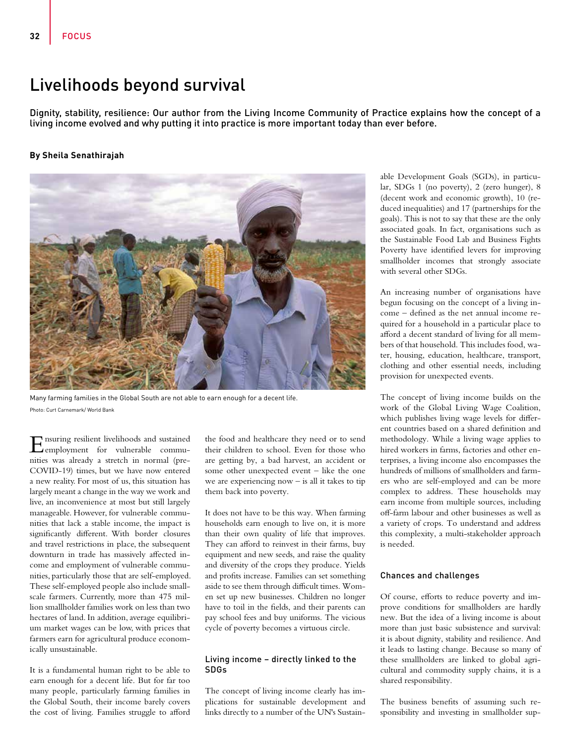# Livelihoods beyond survival

Dignity, stability, resilience: Our author from the Living Income Community of Practice explains how the concept of a living income evolved and why putting it into practice is more important today than ever before.

## **By Sheila Senathirajah**



Many farming families in the Global South are not able to earn enough for a decent life. Photo: Curt Carnemark/ World Bank

Ensuring resilient livelihoods and sustained employment for vulnerable communities was already a stretch in normal (pre-COVID-19) times, but we have now entered a new reality. For most of us, this situation has largely meant a change in the way we work and live, an inconvenience at most but still largely manageable. However, for vulnerable communities that lack a stable income, the impact is significantly different. With border closures and travel restrictions in place, the subsequent downturn in trade has massively affected income and employment of vulnerable communities, particularly those that are self-employed. These self-employed people also include smallscale farmers. Currently, more than 475 million smallholder families work on less than two hectares of land. In addition, average equilibrium market wages can be low, with prices that farmers earn for agricultural produce economically unsustainable.

It is a fundamental human right to be able to earn enough for a decent life. But for far too many people, particularly farming families in the Global South, their income barely covers the cost of living. Families struggle to afford

the food and healthcare they need or to send their children to school. Even for those who are getting by, a bad harvest, an accident or some other unexpected event – like the one we are experiencing now  $-$  is all it takes to tip them back into poverty.

It does not have to be this way. When farming households earn enough to live on, it is more than their own quality of life that improves. They can afford to reinvest in their farms, buy equipment and new seeds, and raise the quality and diversity of the crops they produce. Yields and profits increase. Families can set something aside to see them through difficult times. Women set up new businesses. Children no longer have to toil in the fields, and their parents can pay school fees and buy uniforms. The vicious cycle of poverty becomes a virtuous circle.

#### Living income – directly linked to the SDGs

The concept of living income clearly has implications for sustainable development and links directly to a number of the UN's Sustainable Development Goals (SGDs), in particular, SDGs 1 (no poverty), 2 (zero hunger), 8 (decent work and economic growth), 10 (reduced inequalities) and 17 (partnerships for the goals). This is not to say that these are the only associated goals. In fact, organisations such as the Sustainable Food Lab and Business Fights Poverty have identified levers for improving smallholder incomes that strongly associate with several other SDGs.

An increasing number of organisations have begun focusing on the concept of a living income – defined as the net annual income required for a household in a particular place to afford a decent standard of living for all members of that household. This includes food, water, housing, education, healthcare, transport, clothing and other essential needs, including provision for unexpected events.

The concept of living income builds on the work of the Global Living Wage Coalition, which publishes living wage levels for different countries based on a shared definition and methodology. While a living wage applies to hired workers in farms, factories and other enterprises, a living income also encompasses the hundreds of millions of smallholders and farmers who are self-employed and can be more complex to address. These households may earn income from multiple sources, including off-farm labour and other businesses as well as a variety of crops. To understand and address this complexity, a multi-stakeholder approach is needed.

#### Chances and challenges

Of course, efforts to reduce poverty and improve conditions for smallholders are hardly new. But the idea of a living income is about more than just basic subsistence and survival: it is about dignity, stability and resilience. And it leads to lasting change. Because so many of these smallholders are linked to global agricultural and commodity supply chains, it is a shared responsibility.

The business benefits of assuming such responsibility and investing in smallholder sup